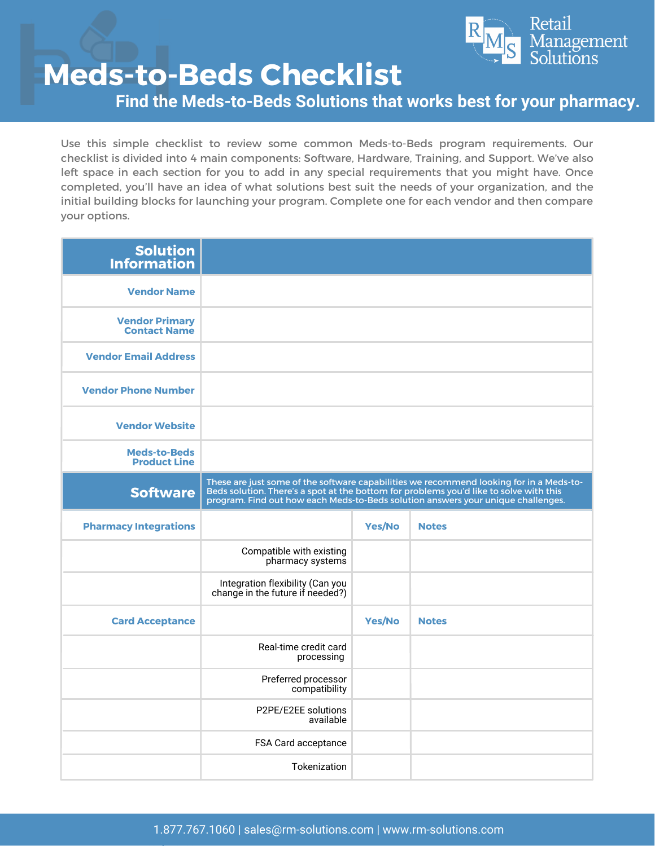

**Find the Meds-to-Beds Solutions that works best for your pharmacy.**

Use this simple checklist to review some common Meds-to-Beds program requirements. Our checklist is divided into 4 main components: Software, Hardware, Training, and Support. We've also left space in each section for you to add in any special requirements that you might have. Once completed, you'll have an idea of what solutions best suit the needs of your organization, and the initial building blocks for launching your program. Complete one for each vendor and then compare your options.

| <b>Solution</b><br><b>Information</b>        |                                                                                                                                                                                                                                                                       |               |              |
|----------------------------------------------|-----------------------------------------------------------------------------------------------------------------------------------------------------------------------------------------------------------------------------------------------------------------------|---------------|--------------|
| <b>Vendor Name</b>                           |                                                                                                                                                                                                                                                                       |               |              |
| <b>Vendor Primary</b><br><b>Contact Name</b> |                                                                                                                                                                                                                                                                       |               |              |
| <b>Vendor Email Address</b>                  |                                                                                                                                                                                                                                                                       |               |              |
| <b>Vendor Phone Number</b>                   |                                                                                                                                                                                                                                                                       |               |              |
| <b>Vendor Website</b>                        |                                                                                                                                                                                                                                                                       |               |              |
| <b>Meds-to-Beds</b><br><b>Product Line</b>   |                                                                                                                                                                                                                                                                       |               |              |
| <b>Software</b>                              | These are just some of the software capabilities we recommend looking for in a Meds-to-<br>Beds solution. There's a spot at the bottom for problems you'd like to solve with this<br>program. Find out how each Meds-to-Beds solution answers your unique challenges. |               |              |
| <b>Pharmacy Integrations</b>                 |                                                                                                                                                                                                                                                                       | <b>Yes/No</b> | <b>Notes</b> |
|                                              | Compatible with existing<br>pharmacy systems                                                                                                                                                                                                                          |               |              |
|                                              | Integration flexibility (Can you<br>change in the future if needed?)                                                                                                                                                                                                  |               |              |
| <b>Card Acceptance</b>                       |                                                                                                                                                                                                                                                                       | <b>Yes/No</b> | <b>Notes</b> |
|                                              | Real-time credit card<br>processing                                                                                                                                                                                                                                   |               |              |
|                                              | Preferred processor<br>compatibility                                                                                                                                                                                                                                  |               |              |
|                                              | P2PE/E2EE solutions<br>available                                                                                                                                                                                                                                      |               |              |
|                                              | FSA Card acceptance                                                                                                                                                                                                                                                   |               |              |
|                                              | Tokenization                                                                                                                                                                                                                                                          |               |              |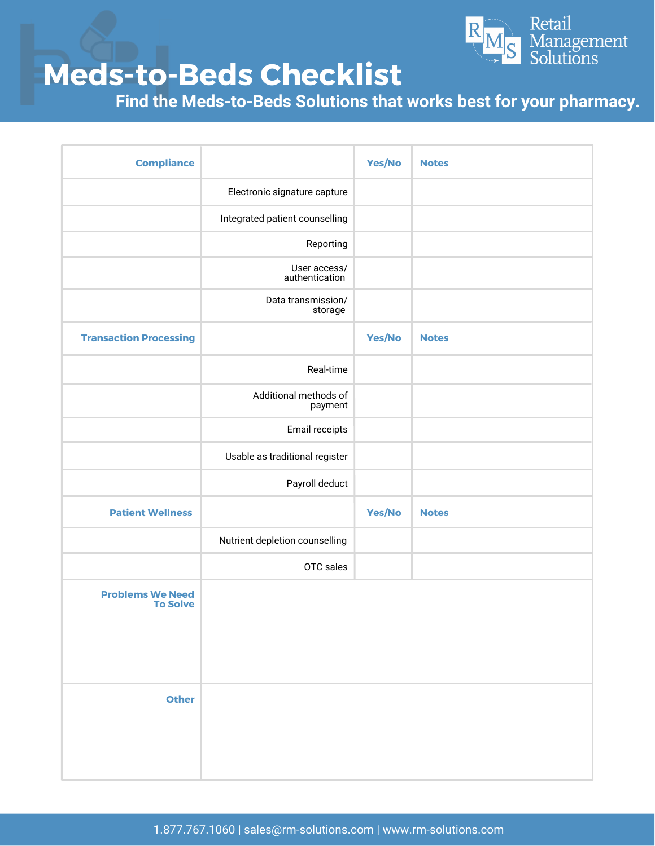

**Find the Meds-to-Beds Solutions that works best for your pharmacy.**

| <b>Compliance</b>                          |                                  | Yes/No | <b>Notes</b> |
|--------------------------------------------|----------------------------------|--------|--------------|
|                                            | Electronic signature capture     |        |              |
|                                            | Integrated patient counselling   |        |              |
|                                            | Reporting                        |        |              |
|                                            | User access/<br>authentication   |        |              |
|                                            | Data transmission/<br>storage    |        |              |
| <b>Transaction Processing</b>              |                                  | Yes/No | <b>Notes</b> |
|                                            | Real-time                        |        |              |
|                                            | Additional methods of<br>payment |        |              |
|                                            | Email receipts                   |        |              |
|                                            | Usable as traditional register   |        |              |
|                                            | Payroll deduct                   |        |              |
| <b>Patient Wellness</b>                    |                                  | Yes/No | <b>Notes</b> |
|                                            | Nutrient depletion counselling   |        |              |
|                                            | OTC sales                        |        |              |
| <b>Problems We Need</b><br><b>To Solve</b> |                                  |        |              |
| <b>Other</b>                               |                                  |        |              |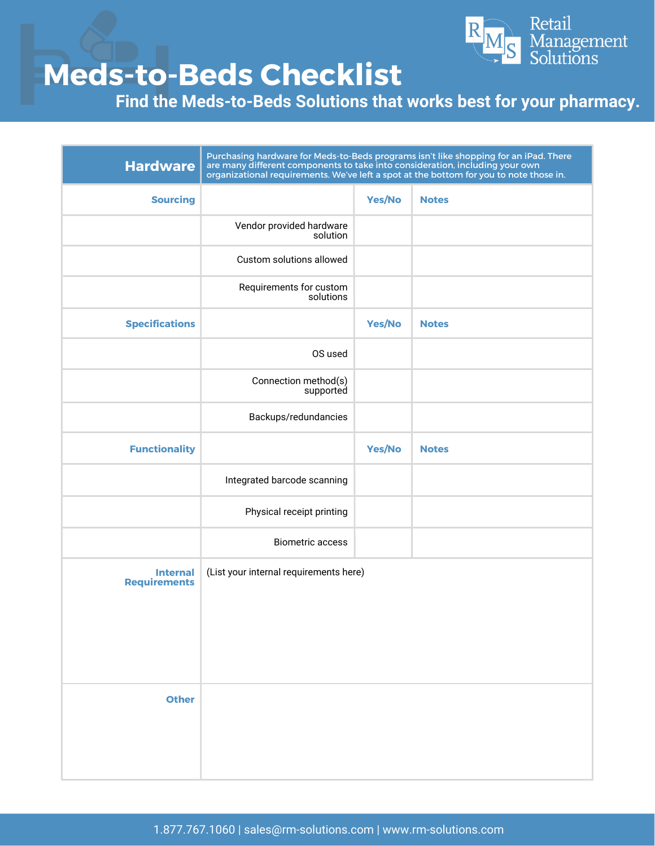

**Find the Meds-to-Beds Solutions that works best for your pharmacy.**

| <b>Hardware</b>                        | Purchasing hardware for Meds-to-Beds programs isn't like shopping for an iPad. There<br>are many different components to take into consideration, including your own<br>organizational requirements. We've left a spot at the bottom for you to note those in. |               |              |
|----------------------------------------|----------------------------------------------------------------------------------------------------------------------------------------------------------------------------------------------------------------------------------------------------------------|---------------|--------------|
| <b>Sourcing</b>                        |                                                                                                                                                                                                                                                                | <b>Yes/No</b> | <b>Notes</b> |
|                                        | Vendor provided hardware<br>solution                                                                                                                                                                                                                           |               |              |
|                                        | Custom solutions allowed                                                                                                                                                                                                                                       |               |              |
|                                        | Requirements for custom<br>solutions                                                                                                                                                                                                                           |               |              |
| <b>Specifications</b>                  |                                                                                                                                                                                                                                                                | Yes/No        | <b>Notes</b> |
|                                        | OS used                                                                                                                                                                                                                                                        |               |              |
|                                        | Connection method(s)<br>supported                                                                                                                                                                                                                              |               |              |
|                                        | Backups/redundancies                                                                                                                                                                                                                                           |               |              |
| <b>Functionality</b>                   |                                                                                                                                                                                                                                                                | Yes/No        | <b>Notes</b> |
|                                        | Integrated barcode scanning                                                                                                                                                                                                                                    |               |              |
|                                        | Physical receipt printing                                                                                                                                                                                                                                      |               |              |
|                                        | <b>Biometric access</b>                                                                                                                                                                                                                                        |               |              |
| <b>Internal</b><br><b>Requirements</b> | (List your internal requirements here)                                                                                                                                                                                                                         |               |              |
|                                        |                                                                                                                                                                                                                                                                |               |              |
|                                        |                                                                                                                                                                                                                                                                |               |              |
| <b>Other</b>                           |                                                                                                                                                                                                                                                                |               |              |
|                                        |                                                                                                                                                                                                                                                                |               |              |
|                                        |                                                                                                                                                                                                                                                                |               |              |